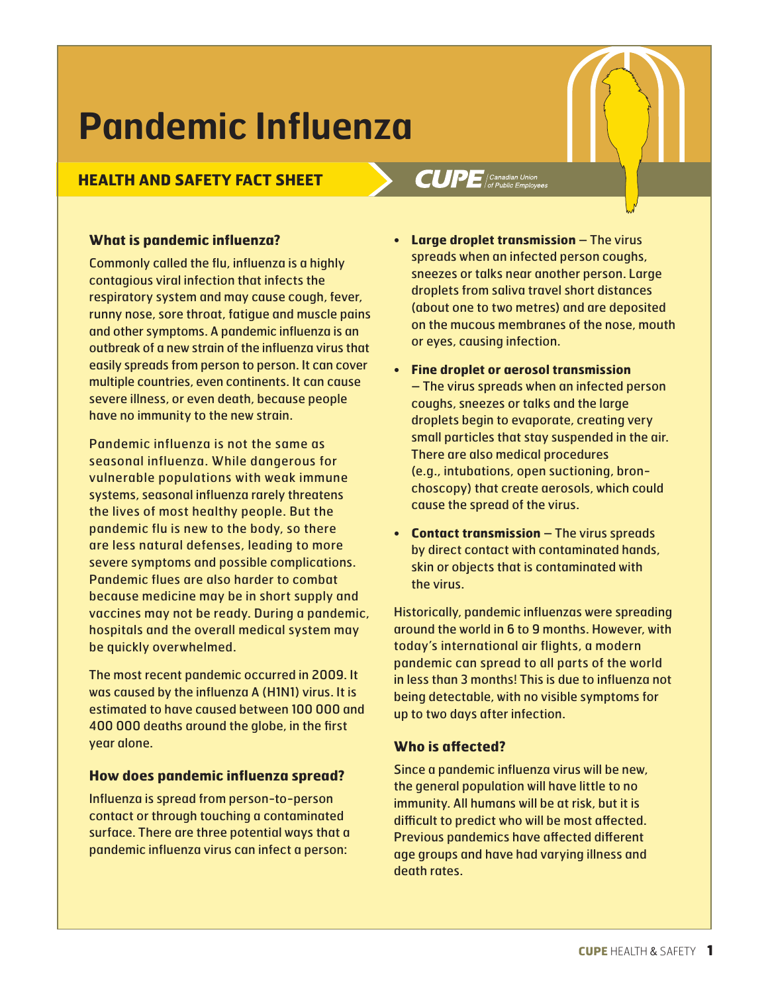# **Pandemic Influenza**

# **HEALTH AND SAFETY FACT SHEET**

## **What is pandemic influenza?**

Commonly called the flu, influenza is a highly contagious viral infection that infects the respiratory system and may cause cough, fever, runny nose, sore throat, fatigue and muscle pains and other symptoms. A pandemic influenza is an outbreak of a new strain of the influenza virus that easily spreads from person to person. It can cover multiple countries, even continents. It can cause severe illness, or even death, because people have no immunity to the new strain.

Pandemic influenza is not the same as seasonal influenza. While dangerous for vulnerable populations with weak immune systems, seasonal influenza rarely threatens the lives of most healthy people. But the pandemic flu is new to the body, so there are less natural defenses, leading to more severe symptoms and possible complications. Pandemic flues are also harder to combat because medicine may be in short supply and vaccines may not be ready. During a pandemic, hospitals and the overall medical system may be quickly overwhelmed.

The most recent pandemic occurred in 2009. It was caused by the influenza A (H1N1) virus. It is estimated to have caused between 100 000 and 400 000 deaths around the globe, in the first year alone.

#### **How does pandemic influenza spread?**

Influenza is spread from person-to-person contact or through touching a contaminated surface. There are three potential ways that a pandemic influenza virus can infect a person:

 $CUPE$  (Canadian Union

- **Large droplet transmission** The virus spreads when an infected person coughs, sneezes or talks near another person. Large droplets from saliva travel short distances (about one to two metres) and are deposited on the mucous membranes of the nose, mouth or eyes, causing infection.
- **Fine droplet or aerosol transmission**  – The virus spreads when an infected person coughs, sneezes or talks and the large droplets begin to evaporate, creating very small particles that stay suspended in the air. There are also medical procedures (e.g., intubations, open suctioning, bronchoscopy) that create aerosols, which could cause the spread of the virus.
- **Contact transmission** The virus spreads by direct contact with contaminated hands, skin or objects that is contaminated with the virus.

Historically, pandemic influenzas were spreading around the world in 6 to 9 months. However, with today's international air flights, a modern pandemic can spread to all parts of the world in less than 3 months! This is due to influenza not being detectable, with no visible symptoms for up to two days after infection.

## **Who is affected?**

Since a pandemic influenza virus will be new, the general population will have little to no immunity. All humans will be at risk, but it is difficult to predict who will be most affected. Previous pandemics have affected different age groups and have had varying illness and death rates.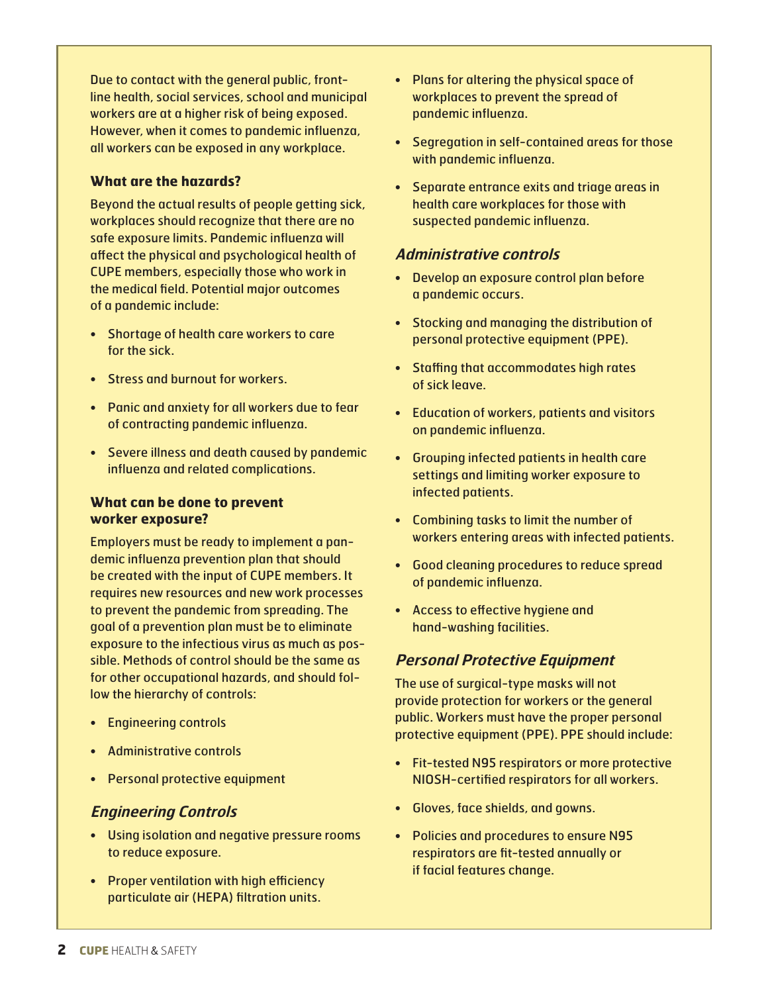Due to contact with the general public, frontline health, social services, school and municipal workers are at a higher risk of being exposed. However, when it comes to pandemic influenza, all workers can be exposed in any workplace.

# **What are the hazards?**

Beyond the actual results of people getting sick, workplaces should recognize that there are no safe exposure limits. Pandemic influenza will affect the physical and psychological health of CUPE members, especially those who work in the medical field. Potential major outcomes of a pandemic include:

- Shortage of health care workers to care for the sick.
- Stress and burnout for workers.
- Panic and anxiety for all workers due to fear of contracting pandemic influenza.
- Severe illness and death caused by pandemic influenza and related complications.

## **What can be done to prevent worker exposure?**

Employers must be ready to implement a pandemic influenza prevention plan that should be created with the input of CUPE members. It requires new resources and new work processes to prevent the pandemic from spreading. The goal of a prevention plan must be to eliminate exposure to the infectious virus as much as possible. Methods of control should be the same as for other occupational hazards, and should follow the hierarchy of controls:

- Engineering controls
- Administrative controls
- Personal protective equipment

# **Engineering Controls**

- Using isolation and negative pressure rooms to reduce exposure.
- Proper ventilation with high efficiency particulate air (HEPA) filtration units.
- Plans for altering the physical space of workplaces to prevent the spread of pandemic influenza.
- Segregation in self-contained areas for those with pandemic influenza.
- Separate entrance exits and triage areas in health care workplaces for those with suspected pandemic influenza.

# **Administrative controls**

- Develop an exposure control plan before a pandemic occurs.
- Stocking and managing the distribution of personal protective equipment (PPE).
- Staffing that accommodates high rates of sick leave.
- Education of workers, patients and visitors on pandemic influenza.
- Grouping infected patients in health care settings and limiting worker exposure to infected patients.
- Combining tasks to limit the number of workers entering areas with infected patients.
- Good cleaning procedures to reduce spread of pandemic influenza.
- Access to effective hygiene and hand-washing facilities.

# **Personal Protective Equipment**

The use of surgical-type masks will not provide protection for workers or the general public. Workers must have the proper personal protective equipment (PPE). PPE should include:

- Fit-tested N95 respirators or more protective NIOSH-certified respirators for all workers.
- Gloves, face shields, and gowns.
- Policies and procedures to ensure N95 respirators are fit-tested annually or if facial features change.